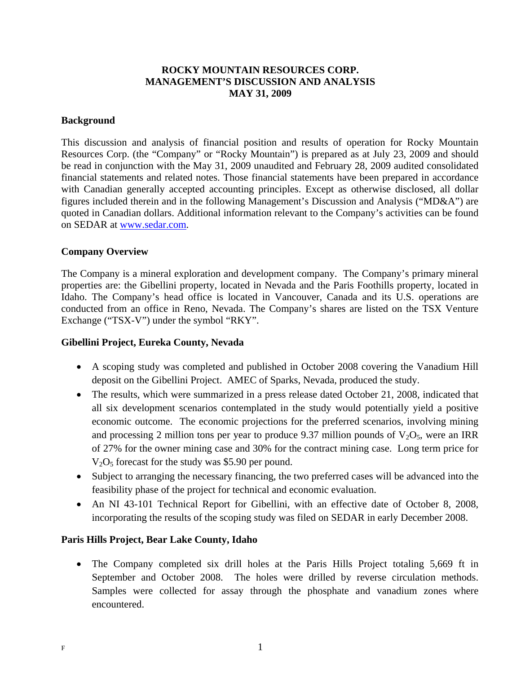# **ROCKY MOUNTAIN RESOURCES CORP. MANAGEMENT'S DISCUSSION AND ANALYSIS MAY 31, 2009**

### **Background**

This discussion and analysis of financial position and results of operation for Rocky Mountain Resources Corp. (the "Company" or "Rocky Mountain") is prepared as at July 23, 2009 and should be read in conjunction with the May 31, 2009 unaudited and February 28, 2009 audited consolidated financial statements and related notes. Those financial statements have been prepared in accordance with Canadian generally accepted accounting principles. Except as otherwise disclosed, all dollar figures included therein and in the following Management's Discussion and Analysis ("MD&A") are quoted in Canadian dollars. Additional information relevant to the Company's activities can be found on SEDAR at www.sedar.com.

## **Company Overview**

The Company is a mineral exploration and development company. The Company's primary mineral properties are: the Gibellini property, located in Nevada and the Paris Foothills property, located in Idaho. The Company's head office is located in Vancouver, Canada and its U.S. operations are conducted from an office in Reno, Nevada. The Company's shares are listed on the TSX Venture Exchange ("TSX-V") under the symbol "RKY".

### **Gibellini Project, Eureka County, Nevada**

- A scoping study was completed and published in October 2008 covering the Vanadium Hill deposit on the Gibellini Project. AMEC of Sparks, Nevada, produced the study.
- The results, which were summarized in a press release dated October 21, 2008, indicated that all six development scenarios contemplated in the study would potentially yield a positive economic outcome. The economic projections for the preferred scenarios, involving mining and processing 2 million tons per year to produce 9.37 million pounds of  $V_2O_5$ , were an IRR of 27% for the owner mining case and 30% for the contract mining case. Long term price for  $V<sub>2</sub>O<sub>5</sub>$  forecast for the study was \$5.90 per pound.
- Subject to arranging the necessary financing, the two preferred cases will be advanced into the feasibility phase of the project for technical and economic evaluation.
- An NI 43-101 Technical Report for Gibellini, with an effective date of October 8, 2008, incorporating the results of the scoping study was filed on SEDAR in early December 2008.

#### **Paris Hills Project, Bear Lake County, Idaho**

• The Company completed six drill holes at the Paris Hills Project totaling 5,669 ft in September and October 2008. The holes were drilled by reverse circulation methods. Samples were collected for assay through the phosphate and vanadium zones where encountered.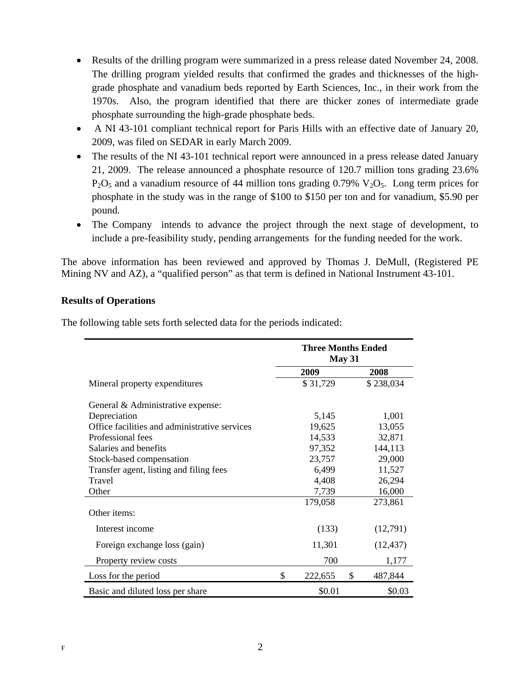- Results of the drilling program were summarized in a press release dated November 24, 2008. The drilling program yielded results that confirmed the grades and thicknesses of the highgrade phosphate and vanadium beds reported by Earth Sciences, Inc., in their work from the 1970s. Also, the program identified that there are thicker zones of intermediate grade phosphate surrounding the high-grade phosphate beds.
- A NI 43-101 compliant technical report for Paris Hills with an effective date of January 20, 2009, was filed on SEDAR in early March 2009.
- The results of the NI 43-101 technical report were announced in a press release dated January 21, 2009. The release announced a phosphate resource of 120.7 million tons grading 23.6%  $P_2O_5$  and a vanadium resource of 44 million tons grading 0.79%  $V_2O_5$ . Long term prices for phosphate in the study was in the range of \$100 to \$150 per ton and for vanadium, \$5.90 per pound.
- The Company intends to advance the project through the next stage of development, to include a pre-feasibility study, pending arrangements for the funding needed for the work.

The above information has been reviewed and approved by Thomas J. DeMull, (Registered PE Mining NV and AZ), a "qualified person" as that term is defined in National Instrument 43-101.

# **Results of Operations**

The following table sets forth selected data for the periods indicated:

|                                               |        | <b>Three Months Ended</b><br>May 31 |         |           |  |
|-----------------------------------------------|--------|-------------------------------------|---------|-----------|--|
|                                               |        | 2009                                |         | 2008      |  |
| Mineral property expenditures                 |        | \$31,729                            |         | \$238,034 |  |
| General & Administrative expense:             |        |                                     |         |           |  |
| Depreciation                                  |        | 5,145                               | 1,001   |           |  |
| Office facilities and administrative services | 19,625 |                                     |         | 13,055    |  |
| Professional fees                             | 14,533 |                                     |         | 32,871    |  |
| Salaries and benefits                         |        | 97,352                              | 144,113 |           |  |
| Stock-based compensation                      | 23,757 |                                     |         | 29,000    |  |
| Transfer agent, listing and filing fees       |        | 6,499                               |         | 11,527    |  |
| Travel                                        |        | 4,408<br>26,294                     |         |           |  |
| Other                                         |        | 7,739<br>16,000                     |         |           |  |
|                                               |        | 179,058                             |         | 273,861   |  |
| Other items:                                  |        |                                     |         |           |  |
| Interest income                               |        | (133)                               |         | (12,791)  |  |
| Foreign exchange loss (gain)                  |        | 11,301                              |         | (12, 437) |  |
| Property review costs                         |        | 700                                 |         | 1,177     |  |
| Loss for the period                           | \$     | 222,655                             | \$      | 487,844   |  |
| Basic and diluted loss per share              |        | \$0.01                              |         | \$0.03    |  |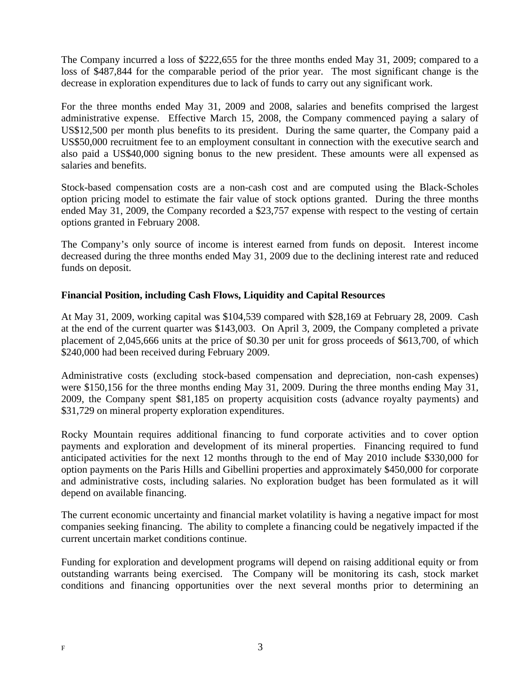The Company incurred a loss of \$222,655 for the three months ended May 31, 2009; compared to a loss of \$487,844 for the comparable period of the prior year. The most significant change is the decrease in exploration expenditures due to lack of funds to carry out any significant work.

For the three months ended May 31, 2009 and 2008, salaries and benefits comprised the largest administrative expense. Effective March 15, 2008, the Company commenced paying a salary of US\$12,500 per month plus benefits to its president. During the same quarter, the Company paid a US\$50,000 recruitment fee to an employment consultant in connection with the executive search and also paid a US\$40,000 signing bonus to the new president. These amounts were all expensed as salaries and benefits.

Stock-based compensation costs are a non-cash cost and are computed using the Black-Scholes option pricing model to estimate the fair value of stock options granted. During the three months ended May 31, 2009, the Company recorded a \$23,757 expense with respect to the vesting of certain options granted in February 2008.

The Company's only source of income is interest earned from funds on deposit. Interest income decreased during the three months ended May 31, 2009 due to the declining interest rate and reduced funds on deposit.

# **Financial Position, including Cash Flows, Liquidity and Capital Resources**

At May 31, 2009, working capital was \$104,539 compared with \$28,169 at February 28, 2009. Cash at the end of the current quarter was \$143,003. On April 3, 2009, the Company completed a private placement of 2,045,666 units at the price of \$0.30 per unit for gross proceeds of \$613,700, of which \$240,000 had been received during February 2009.

Administrative costs (excluding stock-based compensation and depreciation, non-cash expenses) were \$150,156 for the three months ending May 31, 2009. During the three months ending May 31, 2009, the Company spent \$81,185 on property acquisition costs (advance royalty payments) and \$31,729 on mineral property exploration expenditures.

Rocky Mountain requires additional financing to fund corporate activities and to cover option payments and exploration and development of its mineral properties. Financing required to fund anticipated activities for the next 12 months through to the end of May 2010 include \$330,000 for option payments on the Paris Hills and Gibellini properties and approximately \$450,000 for corporate and administrative costs, including salaries. No exploration budget has been formulated as it will depend on available financing.

The current economic uncertainty and financial market volatility is having a negative impact for most companies seeking financing. The ability to complete a financing could be negatively impacted if the current uncertain market conditions continue.

Funding for exploration and development programs will depend on raising additional equity or from outstanding warrants being exercised. The Company will be monitoring its cash, stock market conditions and financing opportunities over the next several months prior to determining an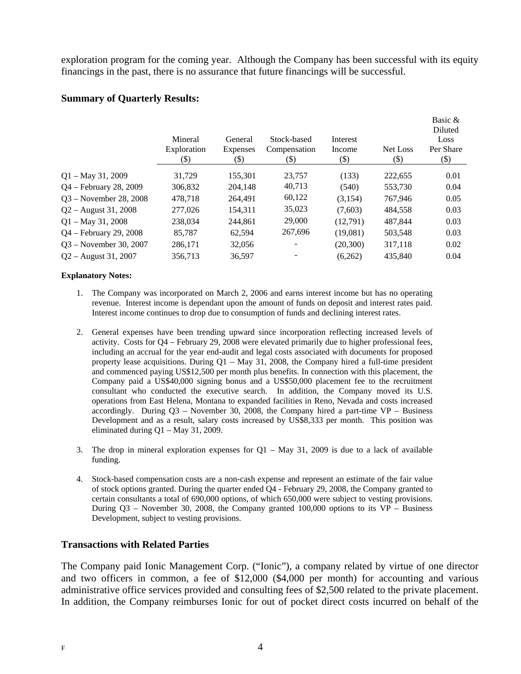exploration program for the coming year. Although the Company has been successful with its equity financings in the past, there is no assurance that future financings will be successful.

# **Summary of Quarterly Results:**

|                          | Mineral<br>Exploration<br>(\$) | General<br><b>Expenses</b><br>$(\$)$ | Stock-based<br>Compensation<br>(\$) | Interest<br>Income<br>$(\$)$ | Net Loss<br>(\$) | Basic &<br>Diluted<br>Loss<br>Per Share<br>$(\$)$ |
|--------------------------|--------------------------------|--------------------------------------|-------------------------------------|------------------------------|------------------|---------------------------------------------------|
| $Q1 - May 31, 2009$      | 31.729                         | 155,301                              | 23.757                              | (133)                        | 222.655          | 0.01                                              |
| Q4 - February 28, 2009   | 306,832                        | 204.148                              | 40,713                              | (540)                        | 553,730          | 0.04                                              |
| $Q3 - November 28, 2008$ | 478,718                        | 264.491                              | 60,122                              | (3,154)                      | 767.946          | 0.05                                              |
| $Q2 -$ August 31, 2008   | 277,026                        | 154,311                              | 35,023                              | (7,603)                      | 484,558          | 0.03                                              |
| $Q1 - May 31, 2008$      | 238,034                        | 244.861                              | 29,000                              | (12,791)                     | 487.844          | 0.03                                              |
| Q4 – February 29, 2008   | 85,787                         | 62,594                               | 267,696                             | (19,081)                     | 503,548          | 0.03                                              |
| $Q3$ – November 30, 2007 | 286,171                        | 32,056                               | ۰                                   | (20, 300)                    | 317,118          | 0.02                                              |
| $Q2 -$ August 31, 2007   | 356,713                        | 36,597                               |                                     | (6,262)                      | 435,840          | 0.04                                              |
|                          |                                |                                      |                                     |                              |                  |                                                   |

#### **Explanatory Notes:**

- 1. The Company was incorporated on March 2, 2006 and earns interest income but has no operating revenue. Interest income is dependant upon the amount of funds on deposit and interest rates paid. Interest income continues to drop due to consumption of funds and declining interest rates.
- 2. General expenses have been trending upward since incorporation reflecting increased levels of activity. Costs for Q4 – February 29, 2008 were elevated primarily due to higher professional fees, including an accrual for the year end-audit and legal costs associated with documents for proposed property lease acquisitions. During  $Q1 - May 31$ , 2008, the Company hired a full-time president and commenced paying US\$12,500 per month plus benefits. In connection with this placement, the Company paid a US\$40,000 signing bonus and a US\$50,000 placement fee to the recruitment consultant who conducted the executive search. In addition, the Company moved its U.S. operations from East Helena, Montana to expanded facilities in Reno, Nevada and costs increased accordingly. During  $Q3$  – November 30, 2008, the Company hired a part-time  $VP$  – Business Development and as a result, salary costs increased by US\$8,333 per month. This position was eliminated during Q1 – May 31, 2009.
- 3. The drop in mineral exploration expenses for  $Q1 May 31$ , 2009 is due to a lack of available funding.
- 4. Stock-based compensation costs are a non-cash expense and represent an estimate of the fair value of stock options granted. During the quarter ended Q4 - February 29, 2008, the Company granted to certain consultants a total of 690,000 options, of which 650,000 were subject to vesting provisions. During Q3 – November 30, 2008, the Company granted 100,000 options to its VP – Business Development, subject to vesting provisions.

## **Transactions with Related Parties**

The Company paid Ionic Management Corp. ("Ionic"), a company related by virtue of one director and two officers in common, a fee of \$12,000 (\$4,000 per month) for accounting and various administrative office services provided and consulting fees of \$2,500 related to the private placement. In addition, the Company reimburses Ionic for out of pocket direct costs incurred on behalf of the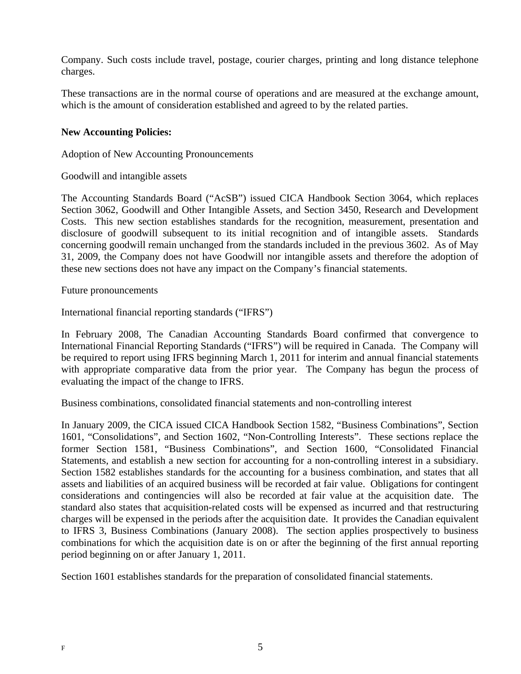Company. Such costs include travel, postage, courier charges, printing and long distance telephone charges.

These transactions are in the normal course of operations and are measured at the exchange amount, which is the amount of consideration established and agreed to by the related parties.

## **New Accounting Policies:**

Adoption of New Accounting Pronouncements

Goodwill and intangible assets

The Accounting Standards Board ("AcSB") issued CICA Handbook Section 3064, which replaces Section 3062, Goodwill and Other Intangible Assets, and Section 3450, Research and Development Costs. This new section establishes standards for the recognition, measurement, presentation and disclosure of goodwill subsequent to its initial recognition and of intangible assets. Standards concerning goodwill remain unchanged from the standards included in the previous 3602. As of May 31, 2009, the Company does not have Goodwill nor intangible assets and therefore the adoption of these new sections does not have any impact on the Company's financial statements.

Future pronouncements

International financial reporting standards ("IFRS")

In February 2008, The Canadian Accounting Standards Board confirmed that convergence to International Financial Reporting Standards ("IFRS") will be required in Canada. The Company will be required to report using IFRS beginning March 1, 2011 for interim and annual financial statements with appropriate comparative data from the prior year. The Company has begun the process of evaluating the impact of the change to IFRS.

Business combinations, consolidated financial statements and non-controlling interest

In January 2009, the CICA issued CICA Handbook Section 1582, "Business Combinations", Section 1601, "Consolidations", and Section 1602, "Non-Controlling Interests". These sections replace the former Section 1581, "Business Combinations", and Section 1600, "Consolidated Financial Statements, and establish a new section for accounting for a non-controlling interest in a subsidiary. Section 1582 establishes standards for the accounting for a business combination, and states that all assets and liabilities of an acquired business will be recorded at fair value. Obligations for contingent considerations and contingencies will also be recorded at fair value at the acquisition date. The standard also states that acquisition-related costs will be expensed as incurred and that restructuring charges will be expensed in the periods after the acquisition date. It provides the Canadian equivalent to IFRS 3, Business Combinations (January 2008). The section applies prospectively to business combinations for which the acquisition date is on or after the beginning of the first annual reporting period beginning on or after January 1, 2011.

Section 1601 establishes standards for the preparation of consolidated financial statements.